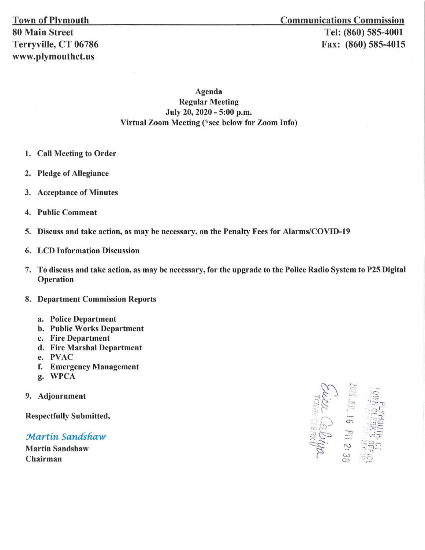Agenda Regular Meeting July 20, 2020 - 5:00 p.m. Virtual Zoom Meeting (\*see below for Zoom Info)

- 1. Call Meeting to Order
- 2. Pledge of Allegiance
- 3. Acceptance of Minutes
- 4. Public Comment
- 5. Discuss and take action, as may be necessary, on the Penalty Fees for Alarms/COVID-19
- 6. LCD Information Discussion
- 7. To discuss and take action, as may be necessary, for the upgrade to the Police Radio System to P25 Digital Operation
- 8. Department Commission Reports
	- a. Police Department
	- b. Public Works Department
	- c. Fire Department
	- d. Fire Marshal Department
	- e. PVAC
	- f. Emergency Management
	- g. WPCA
- 9. Adjournment

Respectfully Submitted,

Martin Sandshaw

Martin Sandshaw Chairman

 $\sum_{i=1}^n$ *<sup>t</sup>*.c; = ci ~ ·..... \_ -~:< :;>:: --c '~::: -;~ (" -~· ~" :~ ~  $-1$ :-:-i:r .\_ - r.---- 0.) ~ .::zi ,9 - :.-.:: '-- :;:\_~ rn~ *3!* i.n·:r- <sup>A</sup>*;·..::;* :::i *()*  <sup>~</sup>") ,,\_\_, <sup>w</sup>:; *-2:*  **92**<br>30<br>30